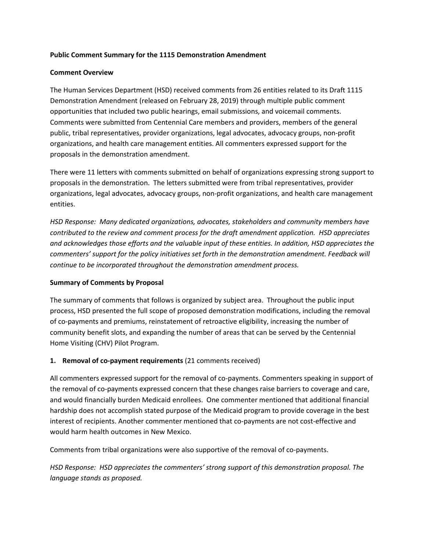### **Public Comment Summary for the 1115 Demonstration Amendment**

#### **Comment Overview**

The Human Services Department (HSD) received comments from 26 entities related to its Draft 1115 Demonstration Amendment (released on February 28, 2019) through multiple public comment opportunities that included two public hearings, email submissions, and voicemail comments. Comments were submitted from Centennial Care members and providers, members of the general public, tribal representatives, provider organizations, legal advocates, advocacy groups, non-profit organizations, and health care management entities. All commenters expressed support for the proposals in the demonstration amendment.

There were 11 letters with comments submitted on behalf of organizations expressing strong support to proposals in the demonstration. The letters submitted were from tribal representatives, provider organizations, legal advocates, advocacy groups, non-profit organizations, and health care management entities.

*HSD Response: Many dedicated organizations, advocates, stakeholders and community members have contributed to the review and comment process for the draft amendment application. HSD appreciates and acknowledges those efforts and the valuable input of these entities. In addition, HSD appreciates the commenters' support for the policy initiatives set forth in the demonstration amendment. Feedback will continue to be incorporated throughout the demonstration amendment process.* 

### **Summary of Comments by Proposal**

The summary of comments that follows is organized by subject area. Throughout the public input process, HSD presented the full scope of proposed demonstration modifications, including the removal of co-payments and premiums, reinstatement of retroactive eligibility, increasing the number of community benefit slots, and expanding the number of areas that can be served by the Centennial Home Visiting (CHV) Pilot Program.

### **1. Removal of co-payment requirements** (21 comments received)

All commenters expressed support for the removal of co-payments. Commenters speaking in support of the removal of co-payments expressed concern that these changes raise barriers to coverage and care, and would financially burden Medicaid enrollees. One commenter mentioned that additional financial hardship does not accomplish stated purpose of the Medicaid program to provide coverage in the best interest of recipients. Another commenter mentioned that co-payments are not cost-effective and would harm health outcomes in New Mexico.

Comments from tribal organizations were also supportive of the removal of co-payments.

*HSD Response: HSD appreciates the commenters' strong support of this demonstration proposal. The language stands as proposed.*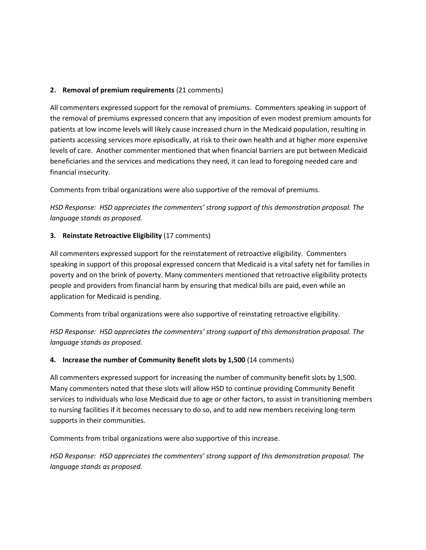## **2. Removal of premium requirements** (21 comments)

All commenters expressed support for the removal of premiums. Commenters speaking in support of the removal of premiums expressed concern that any imposition of even modest premium amounts for patients at low income levels will likely cause increased churn in the Medicaid population, resulting in patients accessing services more episodically, at risk to their own health and at higher more expensive levels of care. Another commenter mentioned that when financial barriers are put between Medicaid beneficiaries and the services and medications they need, it can lead to foregoing needed care and financial insecurity.

Comments from tribal organizations were also supportive of the removal of premiums.

*HSD Response: HSD appreciates the commenters' strong support of this demonstration proposal. The language stands as proposed.* 

## **3. Reinstate Retroactive Eligibility** (17 comments)

All commenters expressed support for the reinstatement of retroactive eligibility. Commenters speaking in support of this proposal expressed concern that Medicaid is a vital safety net for families in poverty and on the brink of poverty. Many commenters mentioned that retroactive eligibility protects people and providers from financial harm by ensuring that medical bills are paid, even while an application for Medicaid is pending.

Comments from tribal organizations were also supportive of reinstating retroactive eligibility.

*HSD Response: HSD appreciates the commenters' strong support of this demonstration proposal. The language stands as proposed.* 

### **4. Increase the number of Community Benefit slots by 1,500** (14 comments)

All commenters expressed support for increasing the number of community benefit slots by 1,500. Many commenters noted that these slots will allow HSD to continue providing Community Benefit services to individuals who lose Medicaid due to age or other factors, to assist in transitioning members to nursing facilities if it becomes necessary to do so, and to add new members receiving long-term supports in their communities.

Comments from tribal organizations were also supportive of this increase.

*HSD Response: HSD appreciates the commenters' strong support of this demonstration proposal. The language stands as proposed.*